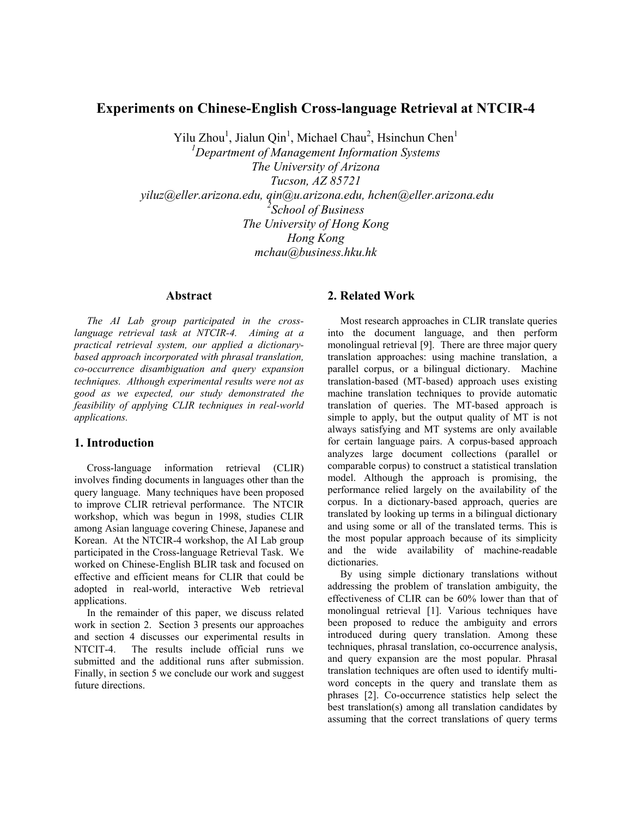# **Experiments on Chinese-English Cross-language Retrieval at NTCIR-4**

Yilu Zhou<sup>1</sup>, Jialun Qin<sup>1</sup>, Michael Chau<sup>2</sup>, Hsinchun Chen<sup>1</sup>

*1 Department of Management Information Systems The University of Arizona Tucson, AZ 85721 yiluz@eller.arizona.edu, qin@u.arizona.edu, hchen@eller.arizona.edu 2 School of Business The University of Hong Kong Hong Kong mchau@business.hku.hk* 

## **Abstract**

*The AI Lab group participated in the crosslanguage retrieval task at NTCIR-4. Aiming at a practical retrieval system, our applied a dictionarybased approach incorporated with phrasal translation, co-occurrence disambiguation and query expansion techniques. Although experimental results were not as good as we expected, our study demonstrated the feasibility of applying CLIR techniques in real-world applications.* 

# **1. Introduction**

Cross-language information retrieval (CLIR) involves finding documents in languages other than the query language. Many techniques have been proposed to improve CLIR retrieval performance. The NTCIR workshop, which was begun in 1998, studies CLIR among Asian language covering Chinese, Japanese and Korean. At the NTCIR-4 workshop, the AI Lab group participated in the Cross-language Retrieval Task. We worked on Chinese-English BLIR task and focused on effective and efficient means for CLIR that could be adopted in real-world, interactive Web retrieval applications.

In the remainder of this paper, we discuss related work in section 2. Section 3 presents our approaches and section 4 discusses our experimental results in NTCIT-4. The results include official runs we submitted and the additional runs after submission. Finally, in section 5 we conclude our work and suggest future directions.

# **2. Related Work**

Most research approaches in CLIR translate queries into the document language, and then perform monolingual retrieval [9]. There are three major query translation approaches: using machine translation, a parallel corpus, or a bilingual dictionary. Machine translation-based (MT-based) approach uses existing machine translation techniques to provide automatic translation of queries. The MT-based approach is simple to apply, but the output quality of MT is not always satisfying and MT systems are only available for certain language pairs. A corpus-based approach analyzes large document collections (parallel or comparable corpus) to construct a statistical translation model. Although the approach is promising, the performance relied largely on the availability of the corpus. In a dictionary-based approach, queries are translated by looking up terms in a bilingual dictionary and using some or all of the translated terms. This is the most popular approach because of its simplicity and the wide availability of machine-readable dictionaries.

By using simple dictionary translations without addressing the problem of translation ambiguity, the effectiveness of CLIR can be 60% lower than that of monolingual retrieval [1]. Various techniques have been proposed to reduce the ambiguity and errors introduced during query translation. Among these techniques, phrasal translation, co-occurrence analysis, and query expansion are the most popular. Phrasal translation techniques are often used to identify multiword concepts in the query and translate them as phrases [2]. Co-occurrence statistics help select the best translation(s) among all translation candidates by assuming that the correct translations of query terms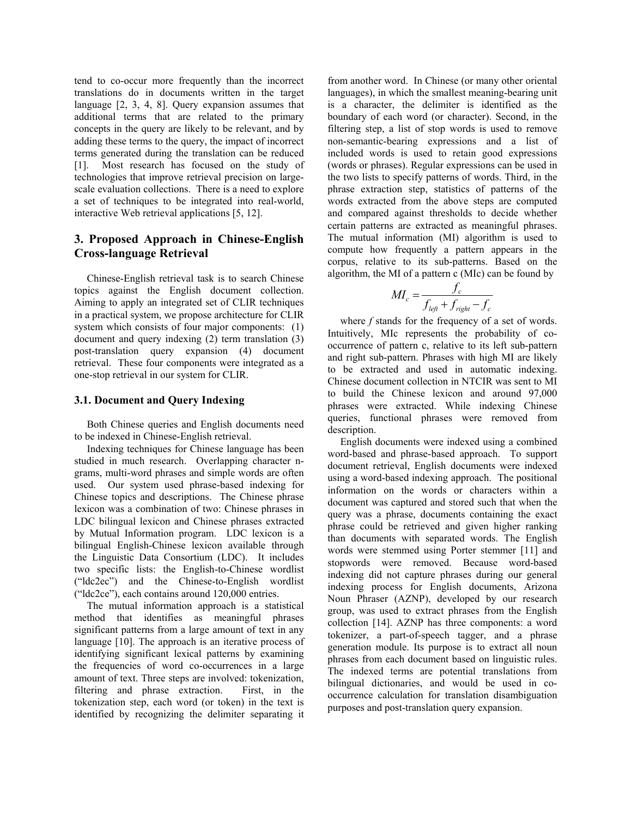tend to co-occur more frequently than the incorrect translations do in documents written in the target language [2, 3, 4, 8]. Query expansion assumes that additional terms that are related to the primary concepts in the query are likely to be relevant, and by adding these terms to the query, the impact of incorrect terms generated during the translation can be reduced [1]. Most research has focused on the study of technologies that improve retrieval precision on largescale evaluation collections. There is a need to explore a set of techniques to be integrated into real-world, interactive Web retrieval applications [5, 12].

# **3. Proposed Approach in Chinese-English Cross-language Retrieval**

Chinese-English retrieval task is to search Chinese topics against the English document collection. Aiming to apply an integrated set of CLIR techniques in a practical system, we propose architecture for CLIR system which consists of four major components: (1) document and query indexing (2) term translation (3) post-translation query expansion (4) document retrieval. These four components were integrated as a one-stop retrieval in our system for CLIR.

### **3.1. Document and Query Indexing**

Both Chinese queries and English documents need to be indexed in Chinese-English retrieval.

Indexing techniques for Chinese language has been studied in much research. Overlapping character ngrams, multi-word phrases and simple words are often used. Our system used phrase-based indexing for Chinese topics and descriptions. The Chinese phrase lexicon was a combination of two: Chinese phrases in LDC bilingual lexicon and Chinese phrases extracted by Mutual Information program. LDC lexicon is a bilingual English-Chinese lexicon available through the Linguistic Data Consortium (LDC). It includes two specific lists: the English-to-Chinese wordlist ("ldc2ec") and the Chinese-to-English wordlist ("ldc2ce"), each contains around 120,000 entries.

The mutual information approach is a statistical method that identifies as meaningful phrases significant patterns from a large amount of text in any language [10]. The approach is an iterative process of identifying significant lexical patterns by examining the frequencies of word co-occurrences in a large amount of text. Three steps are involved: tokenization, filtering and phrase extraction. First, in the tokenization step, each word (or token) in the text is identified by recognizing the delimiter separating it

from another word. In Chinese (or many other oriental languages), in which the smallest meaning-bearing unit is a character, the delimiter is identified as the boundary of each word (or character). Second, in the filtering step, a list of stop words is used to remove non-semantic-bearing expressions and a list of included words is used to retain good expressions (words or phrases). Regular expressions can be used in the two lists to specify patterns of words. Third, in the phrase extraction step, statistics of patterns of the words extracted from the above steps are computed and compared against thresholds to decide whether certain patterns are extracted as meaningful phrases. The mutual information (MI) algorithm is used to compute how frequently a pattern appears in the corpus, relative to its sub-patterns. Based on the algorithm, the MI of a pattern c (MIc) can be found by

$$
MI_c = \frac{f_c}{f_{left} + f_{right} - f_c}
$$

where *f* stands for the frequency of a set of words. Intuitively, MIc represents the probability of cooccurrence of pattern c, relative to its left sub-pattern and right sub-pattern. Phrases with high MI are likely to be extracted and used in automatic indexing. Chinese document collection in NTCIR was sent to MI to build the Chinese lexicon and around 97,000 phrases were extracted. While indexing Chinese queries, functional phrases were removed from description.

English documents were indexed using a combined word-based and phrase-based approach. To support document retrieval, English documents were indexed using a word-based indexing approach. The positional information on the words or characters within a document was captured and stored such that when the query was a phrase, documents containing the exact phrase could be retrieved and given higher ranking than documents with separated words. The English words were stemmed using Porter stemmer [11] and stopwords were removed. Because word-based indexing did not capture phrases during our general indexing process for English documents, Arizona Noun Phraser (AZNP), developed by our research group, was used to extract phrases from the English collection [14]. AZNP has three components: a word tokenizer, a part-of-speech tagger, and a phrase generation module. Its purpose is to extract all noun phrases from each document based on linguistic rules. The indexed terms are potential translations from bilingual dictionaries, and would be used in cooccurrence calculation for translation disambiguation purposes and post-translation query expansion.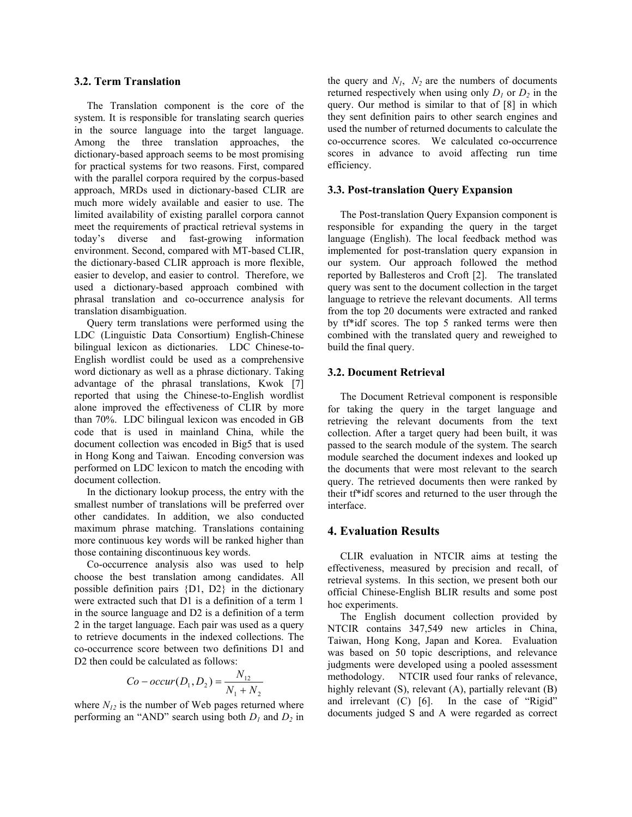## **3.2. Term Translation**

The Translation component is the core of the system. It is responsible for translating search queries in the source language into the target language. Among the three translation approaches, the dictionary-based approach seems to be most promising for practical systems for two reasons. First, compared with the parallel corpora required by the corpus-based approach, MRDs used in dictionary-based CLIR are much more widely available and easier to use. The limited availability of existing parallel corpora cannot meet the requirements of practical retrieval systems in today's diverse and fast-growing information environment. Second, compared with MT-based CLIR, the dictionary-based CLIR approach is more flexible, easier to develop, and easier to control. Therefore, we used a dictionary-based approach combined with phrasal translation and co-occurrence analysis for translation disambiguation.

Query term translations were performed using the LDC (Linguistic Data Consortium) English-Chinese bilingual lexicon as dictionaries. LDC Chinese-to-English wordlist could be used as a comprehensive word dictionary as well as a phrase dictionary. Taking advantage of the phrasal translations, Kwok [7] reported that using the Chinese-to-English wordlist alone improved the effectiveness of CLIR by more than 70%. LDC bilingual lexicon was encoded in GB code that is used in mainland China, while the document collection was encoded in Big5 that is used in Hong Kong and Taiwan. Encoding conversion was performed on LDC lexicon to match the encoding with document collection.

In the dictionary lookup process, the entry with the smallest number of translations will be preferred over other candidates. In addition, we also conducted maximum phrase matching. Translations containing more continuous key words will be ranked higher than those containing discontinuous key words.

Co-occurrence analysis also was used to help choose the best translation among candidates. All possible definition pairs {D1, D2} in the dictionary were extracted such that D1 is a definition of a term 1 in the source language and D2 is a definition of a term 2 in the target language. Each pair was used as a query to retrieve documents in the indexed collections. The co-occurrence score between two definitions D1 and D2 then could be calculated as follows:

$$
Co - occur(D_1, D_2) = \frac{N_{12}}{N_1 + N_2}
$$

where  $N_{12}$  is the number of Web pages returned where performing an "AND" search using both *D1* and *D2* in

the query and  $N_1$ ,  $N_2$  are the numbers of documents returned respectively when using only  $D_1$  or  $D_2$  in the query. Our method is similar to that of [8] in which they sent definition pairs to other search engines and used the number of returned documents to calculate the co-occurrence scores. We calculated co-occurrence scores in advance to avoid affecting run time efficiency.

#### **3.3. Post-translation Query Expansion**

The Post-translation Query Expansion component is responsible for expanding the query in the target language (English). The local feedback method was implemented for post-translation query expansion in our system. Our approach followed the method reported by Ballesteros and Croft [2]. The translated query was sent to the document collection in the target language to retrieve the relevant documents. All terms from the top 20 documents were extracted and ranked by tf\*idf scores. The top 5 ranked terms were then combined with the translated query and reweighed to build the final query.

#### **3.2. Document Retrieval**

The Document Retrieval component is responsible for taking the query in the target language and retrieving the relevant documents from the text collection. After a target query had been built, it was passed to the search module of the system. The search module searched the document indexes and looked up the documents that were most relevant to the search query. The retrieved documents then were ranked by their tf\*idf scores and returned to the user through the interface.

### **4. Evaluation Results**

CLIR evaluation in NTCIR aims at testing the effectiveness, measured by precision and recall, of retrieval systems. In this section, we present both our official Chinese-English BLIR results and some post hoc experiments.

The English document collection provided by NTCIR contains 347,549 new articles in China, Taiwan, Hong Kong, Japan and Korea. Evaluation was based on 50 topic descriptions, and relevance judgments were developed using a pooled assessment methodology. NTCIR used four ranks of relevance, highly relevant (S), relevant (A), partially relevant (B) and irrelevant (C) [6]. In the case of "Rigid" documents judged S and A were regarded as correct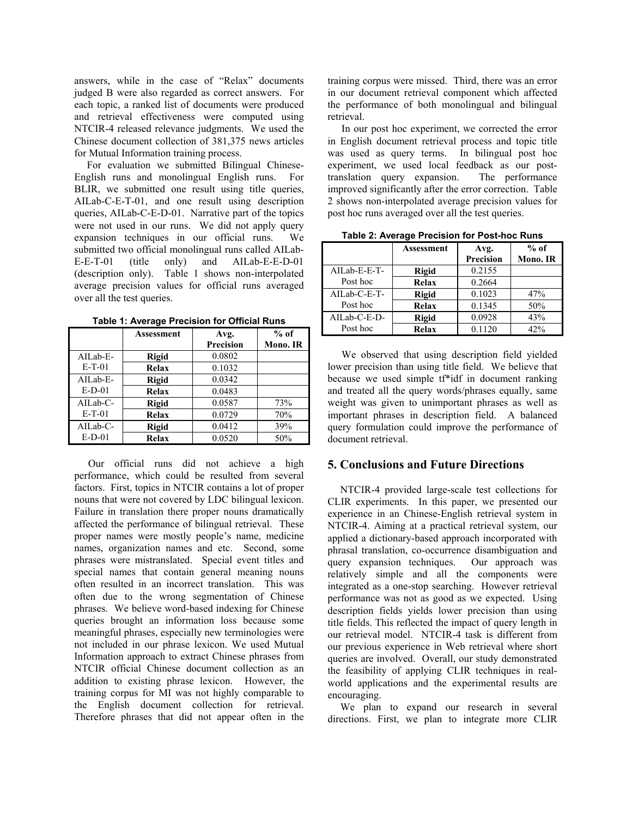answers, while in the case of "Relax" documents judged B were also regarded as correct answers. For each topic, a ranked list of documents were produced and retrieval effectiveness were computed using NTCIR-4 released relevance judgments. We used the Chinese document collection of 381,375 news articles for Mutual Information training process.

For evaluation we submitted Bilingual Chinese-English runs and monolingual English runs. For BLIR, we submitted one result using title queries, AILab-C-E-T-01, and one result using description queries, AILab-C-E-D-01. Narrative part of the topics were not used in our runs. We did not apply query expansion techniques in our official runs. We submitted two official monolingual runs called AILab-E-E-T-01 (title only) and AILab-E-E-D-01 (description only). Table 1 shows non-interpolated average precision values for official runs averaged over all the test queries.

|                        | Assessment   | Avg.             | $%$ of   |
|------------------------|--------------|------------------|----------|
|                        |              | <b>Precision</b> | Mono. IR |
| $AILab-E-$<br>$E-T-01$ | <b>Rigid</b> | 0.0802           |          |
|                        | <b>Relax</b> | 0.1032           |          |
| AILab-E-<br>$E-D-01$   | <b>Rigid</b> | 0.0342           |          |
|                        | Relax        | 0.0483           |          |
| $AILab-C-$<br>$E-T-01$ | <b>Rigid</b> | 0.0587           | 73%      |
|                        | Relax        | 0.0729           | 70%      |
| AILab-C-<br>$E-D-01$   | <b>Rigid</b> | 0.0412           | 39%      |
|                        | Relax        | 0.0520           | 50%      |

**Table 1: Average Precision for Official Runs** 

Our official runs did not achieve a high performance, which could be resulted from several factors. First, topics in NTCIR contains a lot of proper nouns that were not covered by LDC bilingual lexicon. Failure in translation there proper nouns dramatically affected the performance of bilingual retrieval. These proper names were mostly people's name, medicine names, organization names and etc. Second, some phrases were mistranslated. Special event titles and special names that contain general meaning nouns often resulted in an incorrect translation. This was often due to the wrong segmentation of Chinese phrases. We believe word-based indexing for Chinese queries brought an information loss because some meaningful phrases, especially new terminologies were not included in our phrase lexicon. We used Mutual Information approach to extract Chinese phrases from NTCIR official Chinese document collection as an addition to existing phrase lexicon. However, the training corpus for MI was not highly comparable to the English document collection for retrieval. Therefore phrases that did not appear often in the training corpus were missed. Third, there was an error in our document retrieval component which affected the performance of both monolingual and bilingual retrieval.

In our post hoc experiment, we corrected the error in English document retrieval process and topic title was used as query terms. In bilingual post hoc experiment, we used local feedback as our posttranslation query expansion. The performance improved significantly after the error correction. Table 2 shows non-interpolated average precision values for post hoc runs averaged over all the test queries.

| $1.4819$ and $1.1991$ and $1.991$ and $1.991$ . The set the set that it is a set of $1.891$ |                   |           |          |  |
|---------------------------------------------------------------------------------------------|-------------------|-----------|----------|--|
|                                                                                             | <b>Assessment</b> | Avg.      | $%$ of   |  |
|                                                                                             |                   | Precision | Mono. IR |  |
| AILab-E-E-T-                                                                                | <b>Rigid</b>      | 0.2155    |          |  |
| Post hoc                                                                                    | <b>Relax</b>      | 0.2664    |          |  |
| AILab-C-E-T-                                                                                | <b>Rigid</b>      | 0.1023    | 47%      |  |
| Post hoc                                                                                    | <b>Relax</b>      | 0.1345    | 50%      |  |
| AILab-C-E-D-                                                                                | <b>Rigid</b>      | 0.0928    | 43%      |  |
| Post hoc                                                                                    | <b>Relax</b>      | 0.1120    | 42%      |  |

**Table 2: Average Precision for Post-hoc Runs** 

We observed that using description field yielded lower precision than using title field. We believe that because we used simple tf\*idf in document ranking and treated all the query words/phrases equally, same weight was given to unimportant phrases as well as important phrases in description field. A balanced query formulation could improve the performance of document retrieval.

## **5. Conclusions and Future Directions**

NTCIR-4 provided large-scale test collections for CLIR experiments. In this paper, we presented our experience in an Chinese-English retrieval system in NTCIR-4. Aiming at a practical retrieval system, our applied a dictionary-based approach incorporated with phrasal translation, co-occurrence disambiguation and query expansion techniques. Our approach was relatively simple and all the components were integrated as a one-stop searching. However retrieval performance was not as good as we expected. Using description fields yields lower precision than using title fields. This reflected the impact of query length in our retrieval model. NTCIR-4 task is different from our previous experience in Web retrieval where short queries are involved. Overall, our study demonstrated the feasibility of applying CLIR techniques in realworld applications and the experimental results are encouraging.

We plan to expand our research in several directions. First, we plan to integrate more CLIR